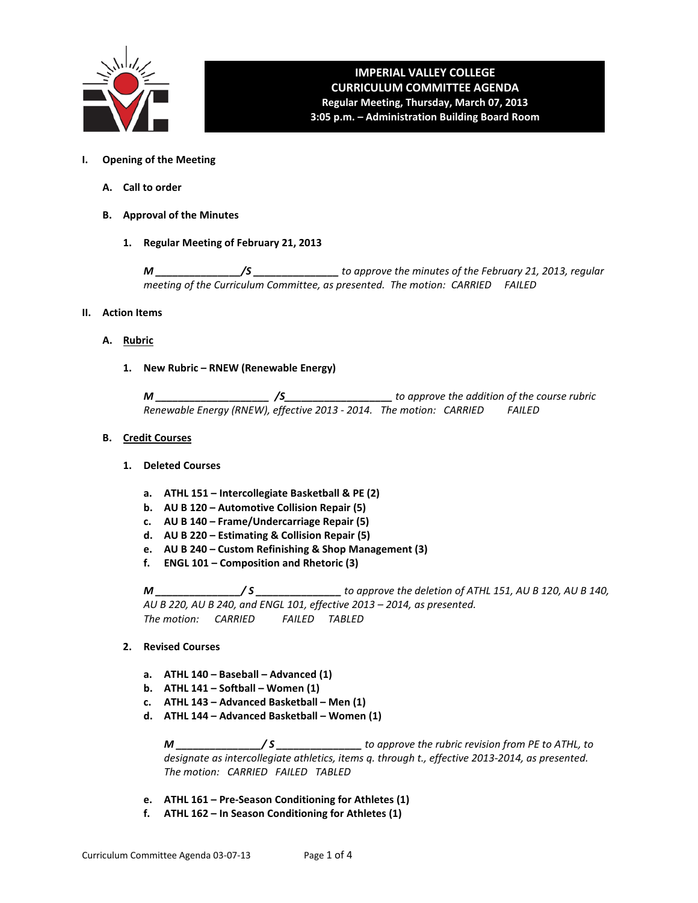

# **IMPERIAL VALLEY COLLEGE CURRICULUM COMMITTEE AGENDA Regular Meeting, Thursday, March 07, 2013 3:05 p.m. – Administration Building Board Room**

- **I. Opening of the Meeting**
	- **A. Call to order**
	- **B. Approval of the Minutes**
		- **1. Regular Meeting of February 21, 2013**

*M \_\_\_\_\_\_\_\_\_\_\_\_\_\_\_/S \_\_\_\_\_\_\_\_\_\_\_\_\_\_\_ to approve the minutes of the February 21, 2013, regular meeting of the Curriculum Committee, as presented. The motion: CARRIED FAILED* 

- **II. Action Items**
	- **A. Rubric**
		- **1. New Rubric – RNEW (Renewable Energy)**

*M \_\_\_\_\_\_\_\_\_\_\_\_\_\_\_\_\_\_\_\_ /S\_\_\_\_\_\_\_\_\_\_\_\_\_\_\_\_\_\_\_ to approve the addition of the course rubric Renewable Energy (RNEW), effective 2013 - 2014. The motion: CARRIED FAILED*

#### **B. Credit Courses**

#### **1. Deleted Courses**

- **a. ATHL 151 – Intercollegiate Basketball & PE (2)**
- **b. AU B 120 – Automotive Collision Repair (5)**
- **c. AU B 140 – Frame/Undercarriage Repair (5)**
- **d. AU B 220 – Estimating & Collision Repair (5)**
- **e. AU B 240 – Custom Refinishing & Shop Management (3)**
- **f. ENGL 101 – Composition and Rhetoric (3)**

*M \_\_\_\_\_\_\_\_\_\_\_\_\_\_\_/ S \_\_\_\_\_\_\_\_\_\_\_\_\_\_\_ to approve the deletion of ATHL 151, AU B 120, AU B 140, AU B 220, AU B 240, and ENGL 101, effective 2013 – 2014, as presented. The motion: CARRIED FAILED TABLED*

- **2. Revised Courses**
	- **a. ATHL 140 – Baseball – Advanced (1)**
	- **b. ATHL 141 – Softball – Women (1)**
	- **c. ATHL 143 – Advanced Basketball – Men (1)**
	- **d. ATHL 144 – Advanced Basketball – Women (1)**

*M \_\_\_\_\_\_\_\_\_\_\_\_\_\_\_/ S \_\_\_\_\_\_\_\_\_\_\_\_\_\_\_ to approve the rubric revision from PE to ATHL, to designate as intercollegiate athletics, items q. through t., effective 2013-2014, as presented. The motion: CARRIED FAILED TABLED*

- **e. ATHL 161 – Pre-Season Conditioning for Athletes (1)**
- **f. ATHL 162 – In Season Conditioning for Athletes (1)**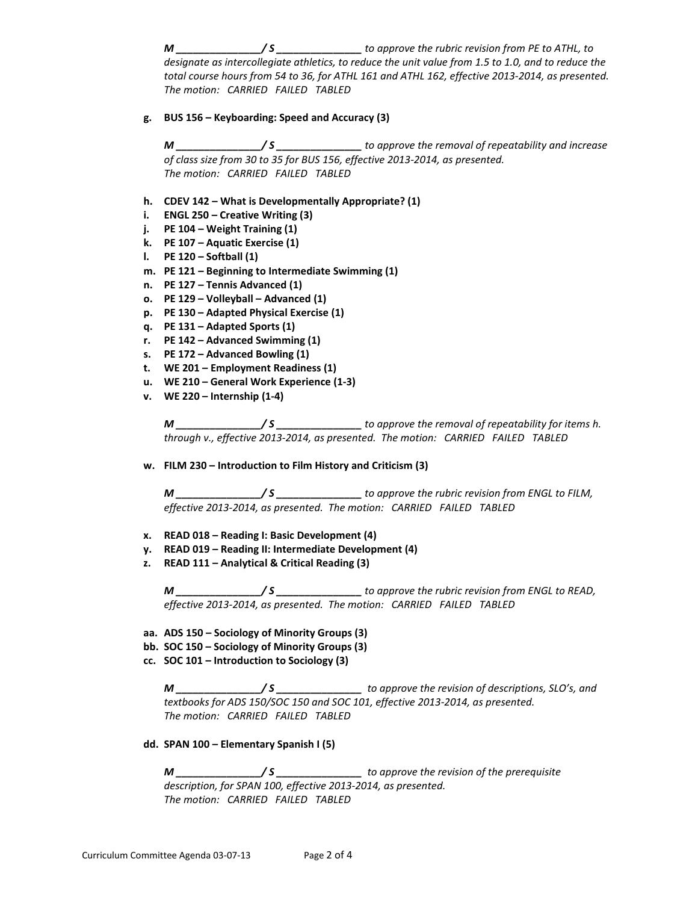*M \_\_\_\_\_\_\_\_\_\_\_\_\_\_\_/ S \_\_\_\_\_\_\_\_\_\_\_\_\_\_\_ to approve the rubric revision from PE to ATHL, to designate as intercollegiate athletics, to reduce the unit value from 1.5 to 1.0, and to reduce the total course hours from 54 to 36, for ATHL 161 and ATHL 162, effective 2013-2014, as presented. The motion: CARRIED FAILED TABLED*

**g. BUS 156 – Keyboarding: Speed and Accuracy (3)**

*M \_\_\_\_\_\_\_\_\_\_\_\_\_\_\_/ S \_\_\_\_\_\_\_\_\_\_\_\_\_\_\_ to approve the removal of repeatability and increase of class size from 30 to 35 for BUS 156, effective 2013-2014, as presented. The motion: CARRIED FAILED TABLED*

- **h. CDEV 142 – What is Developmentally Appropriate? (1)**
- **i. ENGL 250 – Creative Writing (3)**
- **j. PE 104 – Weight Training (1)**
- **k. PE 107 – Aquatic Exercise (1)**
- **l. PE 120 – Softball (1)**
- **m. PE 121 – Beginning to Intermediate Swimming (1)**
- **n. PE 127 – Tennis Advanced (1)**
- **o. PE 129 – Volleyball – Advanced (1)**
- **p. PE 130 – Adapted Physical Exercise (1)**
- **q. PE 131 – Adapted Sports (1)**
- **r. PE 142 – Advanced Swimming (1)**
- **s. PE 172 – Advanced Bowling (1)**
- **t. WE 201 – Employment Readiness (1)**
- **u. WE 210 – General Work Experience (1-3)**
- **v. WE 220 – Internship (1-4)**

*M \_\_\_\_\_\_\_\_\_\_\_\_\_\_\_/ S \_\_\_\_\_\_\_\_\_\_\_\_\_\_\_ to approve the removal of repeatability for items h. through v., effective 2013-2014, as presented. The motion: CARRIED FAILED TABLED*

**w. FILM 230 – Introduction to Film History and Criticism (3)**

*M \_\_\_\_\_\_\_\_\_\_\_\_\_\_\_/ S \_\_\_\_\_\_\_\_\_\_\_\_\_\_\_ to approve the rubric revision from ENGL to FILM, effective 2013-2014, as presented. The motion: CARRIED FAILED TABLED*

- **x. READ 018 – Reading I: Basic Development (4)**
- **y. READ 019 – Reading II: Intermediate Development (4)**
- **z. READ 111 – Analytical & Critical Reading (3)**

*M \_\_\_\_\_\_\_\_\_\_\_\_\_\_\_/ S \_\_\_\_\_\_\_\_\_\_\_\_\_\_\_ to approve the rubric revision from ENGL to READ, effective 2013-2014, as presented. The motion: CARRIED FAILED TABLED*

- **aa. ADS 150 – Sociology of Minority Groups (3)**
- **bb. SOC 150 – Sociology of Minority Groups (3)**
- **cc. SOC 101 – Introduction to Sociology (3)**

*M \_\_\_\_\_\_\_\_\_\_\_\_\_\_\_/ S \_\_\_\_\_\_\_\_\_\_\_\_\_\_\_ to approve the revision of descriptions, SLO's, and textbooks for ADS 150/SOC 150 and SOC 101, effective 2013-2014, as presented. The motion: CARRIED FAILED TABLED*

**dd. SPAN 100 – Elementary Spanish I (5)**

*M \_\_\_\_\_\_\_\_\_\_\_\_\_\_\_/ S \_\_\_\_\_\_\_\_\_\_\_\_\_\_\_ to approve the revision of the prerequisite description, for SPAN 100, effective 2013-2014, as presented. The motion: CARRIED FAILED TABLED*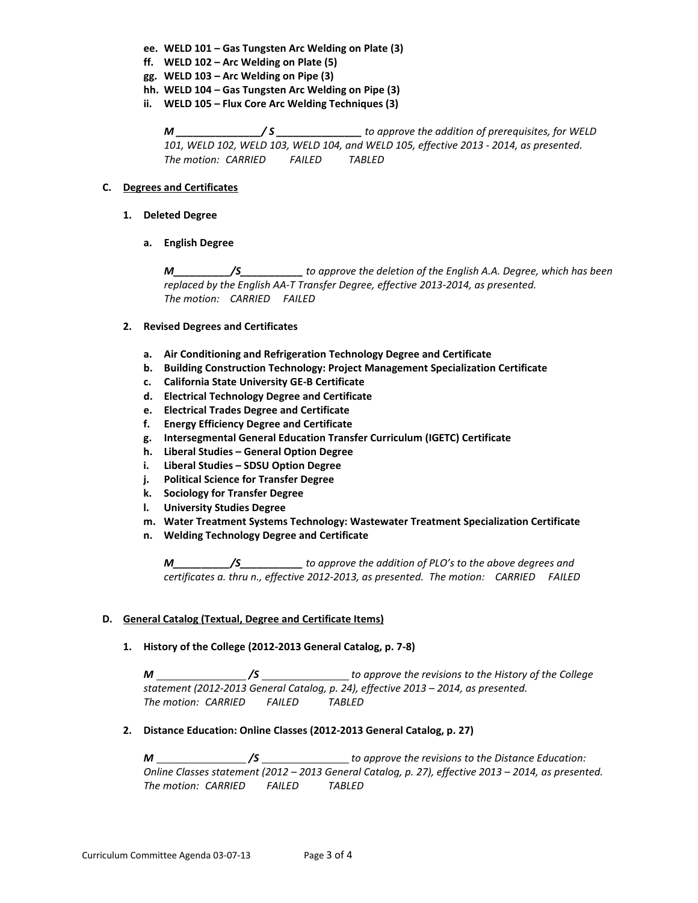- **ee. WELD 101 – Gas Tungsten Arc Welding on Plate (3)**
- **ff. WELD 102 – Arc Welding on Plate (5)**
- **gg. WELD 103 – Arc Welding on Pipe (3)**
- **hh. WELD 104 – Gas Tungsten Arc Welding on Pipe (3)**
- **ii. WELD 105 – Flux Core Arc Welding Techniques (3)**

*M \_\_\_\_\_\_\_\_\_\_\_\_\_\_\_/ S \_\_\_\_\_\_\_\_\_\_\_\_\_\_\_ to approve the addition of prerequisites, for WELD 101, WELD 102, WELD 103, WELD 104, and WELD 105, effective 2013 - 2014, as presented. The motion: CARRIED FAILED TABLED*

### **C. Degrees and Certificates**

- **1. Deleted Degree**
	- **a. English Degree**

*M\_\_\_\_\_\_\_\_\_\_/S\_\_\_\_\_\_\_\_\_\_\_ to approve the deletion of the English A.A. Degree, which has been replaced by the English AA-T Transfer Degree, effective 2013-2014, as presented. The motion: CARRIED FAILED*

# **2. Revised Degrees and Certificates**

- **a. Air Conditioning and Refrigeration Technology Degree and Certificate**
- **b. Building Construction Technology: Project Management Specialization Certificate**
- **c. California State University GE-B Certificate**
- **d. Electrical Technology Degree and Certificate**
- **e. Electrical Trades Degree and Certificate**
- **f. Energy Efficiency Degree and Certificate**
- **g. Intersegmental General Education Transfer Curriculum (IGETC) Certificate**
- **h. Liberal Studies – General Option Degree**
- **i. Liberal Studies – SDSU Option Degree**
- **j. Political Science for Transfer Degree**
- **k. Sociology for Transfer Degree**
- **l. University Studies Degree**
- **m. Water Treatment Systems Technology: Wastewater Treatment Specialization Certificate**
- **n. Welding Technology Degree and Certificate**

*M\_\_\_\_\_\_\_\_\_\_/S\_\_\_\_\_\_\_\_\_\_\_ to approve the addition of PLO's to the above degrees and certificates a. thru n., effective 2012-2013, as presented. The motion: CARRIED FAILED*

#### **D. General Catalog (Textual, Degree and Certificate Items)**

#### **1. History of the College (2012-2013 General Catalog, p. 7-8)**

*M /S to approve the revisions to the History of the College statement (2012-2013 General Catalog, p. 24), effective 2013 – 2014, as presented. The motion: CARRIED FAILED TABLED*

# **2. Distance Education: Online Classes (2012-2013 General Catalog, p. 27)**

*M /S to approve the revisions to the Distance Education: Online Classes statement (2012 – 2013 General Catalog, p. 27), effective 2013 – 2014, as presented. The motion: CARRIED FAILED TABLED*